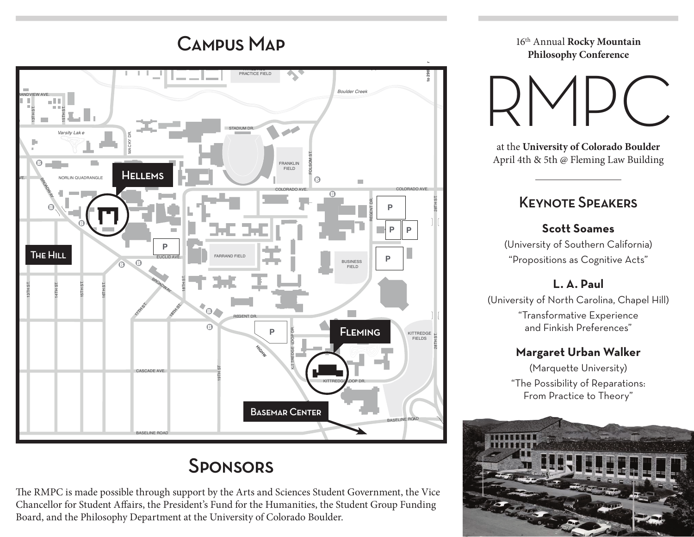17TH ST.

18TH ST.

19TH ST.

20TH ST.



# **SPONSORS**

The RMPC is made possible through support by the Arts and Sciences Student Government, the Vice Chancellor for Student Affairs, the President's Fund for the Humanities, the Student Group Funding Board, and the Philosophy Department at the University of Colorado Boulder.

CAMPUS MAP 16th Annual Rocky Mountain **Philosophy Conference**

28T

FOLSOM ST.

RMPC

at the **University of Colorado Boulder** April 4th & 5th @ Fleming Law Building

## Keynote Speakers

#### **Scott Soames**

(University of Southern California) "Propositions as Cognitive Acts"

### **L. A. Paul**

(University of North Carolina, Chapel Hill) "Transformative Experience and Finkish Preferences"

#### **Margaret Urban Walker**

(Marquette University) "The Possibility of Reparations: From Practice to Theory"